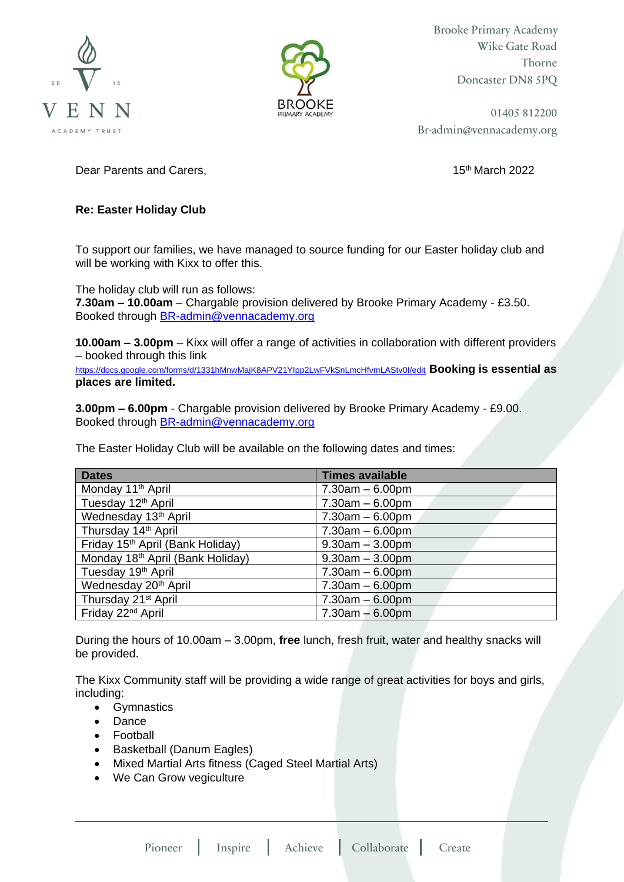



Brooke Primary Academy Wike Gate Road Thorne Doncaster DN8 5PQ

01405 812200 Br-admin@vennacademy.org

Dear Parents and Carers, 15th March 2022 **15th March 2022** 

## **Re: Easter Holiday Club**

To support our families, we have managed to source funding for our Easter holiday club and will be working with Kixx to offer this.

The holiday club will run as follows: **7.30am – 10.00am** – Chargable provision delivered by Brooke Primary Academy - £3.50. Booked through **BR-admin@vennacademy.org** 

**10.00am – 3.00pm** – Kixx will offer a range of activities in collaboration with different providers – booked through this link

<https://docs.google.com/forms/d/1331hMnwMajK8APV21YIpp2LwFVkSnLmcHfvmLAStv0I/edit> **Booking is essential as places are limited.** 

**3.00pm – 6.00pm** - Chargable provision delivered by Brooke Primary Academy - £9.00. Booked through [BR-admin@vennacademy.org](mailto:BR-admin@vennacademy.org)

The Easter Holiday Club will be available on the following dates and times:

| <b>Dates</b>                                 | <b>Times available</b> |
|----------------------------------------------|------------------------|
| Monday 11 <sup>th</sup> April                | $7.30am - 6.00pm$      |
| Tuesday 12 <sup>th</sup> April               | $7.30am - 6.00pm$      |
| Wednesday 13 <sup>th</sup> April             | $7.30am - 6.00pm$      |
| Thursday 14th April                          | $7.30am - 6.00pm$      |
| Friday 15th April (Bank Holiday)             | $9.30am - 3.00pm$      |
| Monday 18 <sup>th</sup> April (Bank Holiday) | $9.30am - 3.00pm$      |
| Tuesday 19 <sup>th</sup> April               | $7.30am - 6.00pm$      |
| Wednesday 20 <sup>th</sup> April             | $7.30am - 6.00pm$      |
| Thursday 21 <sup>st</sup> April              | $7.30am - 6.00pm$      |
| Friday 22 <sup>nd</sup> April                | $7.30am - 6.00pm$      |

During the hours of 10.00am – 3.00pm, **free** lunch, fresh fruit, water and healthy snacks will be provided.

The Kixx Community staff will be providing a wide range of great activities for boys and girls, including:

- Gymnastics
- Dance
- Football
- Basketball (Danum Eagles)
- Mixed Martial Arts fitness (Caged Steel Martial Arts)
- We Can Grow vegiculture

Pioneer Inspire Achieve Collaborate Create